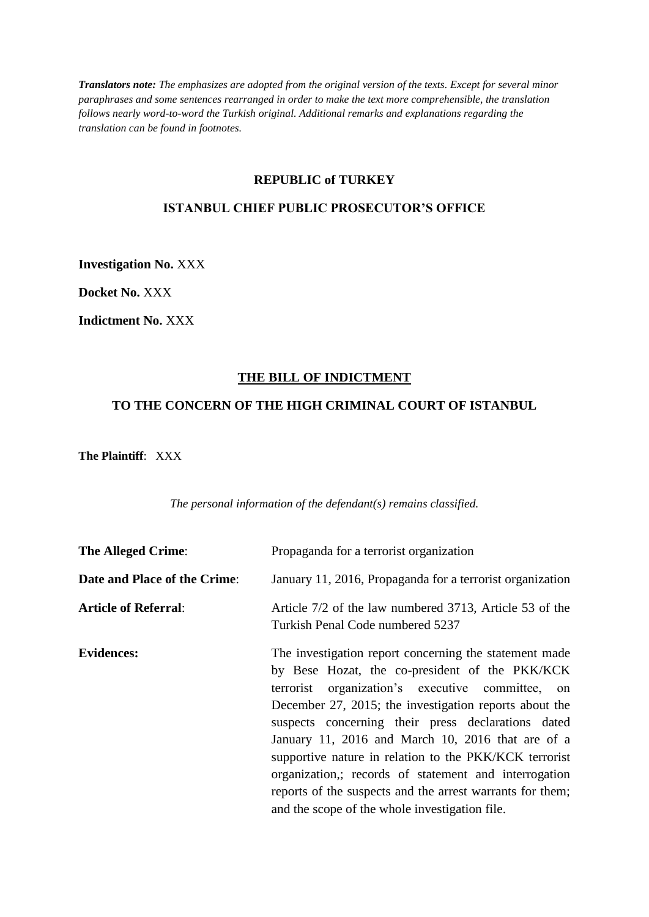*Translators note: The emphasizes are adopted from the original version of the texts. Except for several minor paraphrases and some sentences rearranged in order to make the text more comprehensible, the translation follows nearly word-to-word the Turkish original. Additional remarks and explanations regarding the translation can be found in footnotes.*

### **REPUBLIC of TURKEY**

### **ISTANBUL CHIEF PUBLIC PROSECUTOR'S OFFICE**

**Investigation No.** XXX

**Docket No.** XXX

**Indictment No.** XXX

#### **THE BILL OF INDICTMENT**

## **TO THE CONCERN OF THE HIGH CRIMINAL COURT OF ISTANBUL**

**The Plaintiff**: XXX

*The personal information of the defendant(s) remains classified.*

| <b>The Alleged Crime:</b>    | Propaganda for a terrorist organization                                                                                                                                                                                                                                                                                                                                                                                                                                                                                                                                |
|------------------------------|------------------------------------------------------------------------------------------------------------------------------------------------------------------------------------------------------------------------------------------------------------------------------------------------------------------------------------------------------------------------------------------------------------------------------------------------------------------------------------------------------------------------------------------------------------------------|
| Date and Place of the Crime: | January 11, 2016, Propaganda for a terrorist organization                                                                                                                                                                                                                                                                                                                                                                                                                                                                                                              |
| <b>Article of Referral:</b>  | Article 7/2 of the law numbered 3713, Article 53 of the<br>Turkish Penal Code numbered 5237                                                                                                                                                                                                                                                                                                                                                                                                                                                                            |
| <b>Evidences:</b>            | The investigation report concerning the statement made<br>by Bese Hozat, the co-president of the PKK/KCK<br>organization's executive committee, on<br>terrorist<br>December 27, 2015; the investigation reports about the<br>suspects concerning their press declarations dated<br>January 11, 2016 and March 10, 2016 that are of a<br>supportive nature in relation to the PKK/KCK terrorist<br>organization,; records of statement and interrogation<br>reports of the suspects and the arrest warrants for them;<br>and the scope of the whole investigation file. |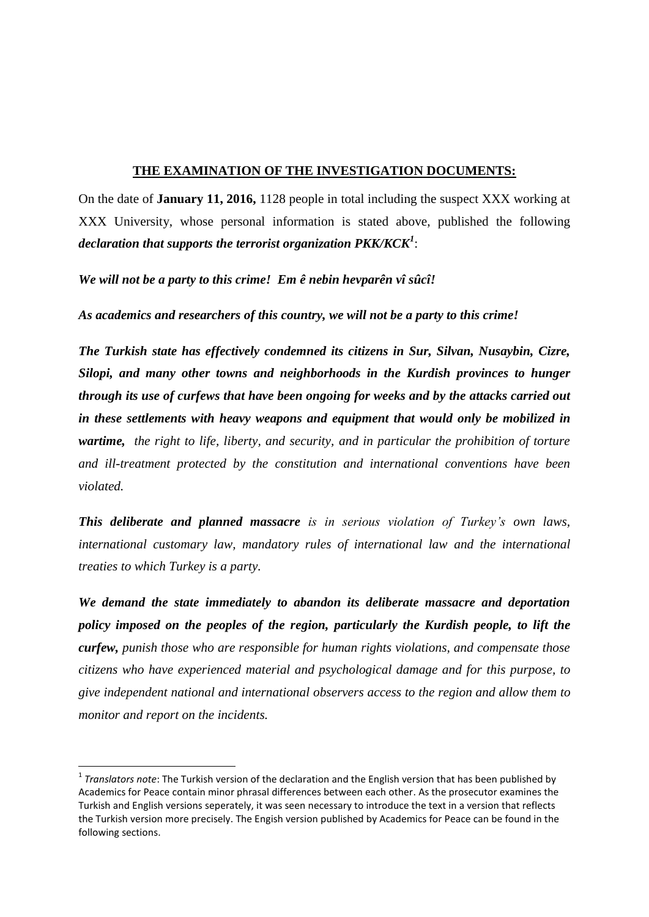### **THE EXAMINATION OF THE INVESTIGATION DOCUMENTS:**

On the date of **January 11, 2016,** 1128 people in total including the suspect XXX working at XXX University, whose personal information is stated above, published the following *declaration that supports the terrorist organization PKK/KCK<sup>1</sup>* :

*We will not be a party to this crime! Em ê nebin hevparên vî sûcî!*

*As academics and researchers of this country, we will not be a party to this crime!*

*The Turkish state has effectively condemned its citizens in Sur, Silvan, Nusaybin, Cizre, Silopi, and many other towns and neighborhoods in the Kurdish provinces to hunger through its use of curfews that have been ongoing for weeks and by the attacks carried out in these settlements with heavy weapons and equipment that would only be mobilized in wartime, the right to life, liberty, and security, and in particular the prohibition of torture and ill-treatment protected by the constitution and international conventions have been violated.*

*This deliberate and planned massacre is in serious violation of Turkey's own laws, international customary law, mandatory rules of international law and the international treaties to which Turkey is a party.*

*We demand the state immediately to abandon its deliberate massacre and deportation policy imposed on the peoples of the region, particularly the Kurdish people, to lift the curfew, punish those who are responsible for human rights violations, and compensate those citizens who have experienced material and psychological damage and for this purpose, to give independent national and international observers access to the region and allow them to monitor and report on the incidents.*

 $\overline{\phantom{a}}$ 

<sup>&</sup>lt;sup>1</sup> Translators note: The Turkish version of the declaration and the English version that has been published by Academics for Peace contain minor phrasal differences between each other. As the prosecutor examines the Turkish and English versions seperately, it was seen necessary to introduce the text in a version that reflects the Turkish version more precisely. The Engish version published by Academics for Peace can be found in the following sections.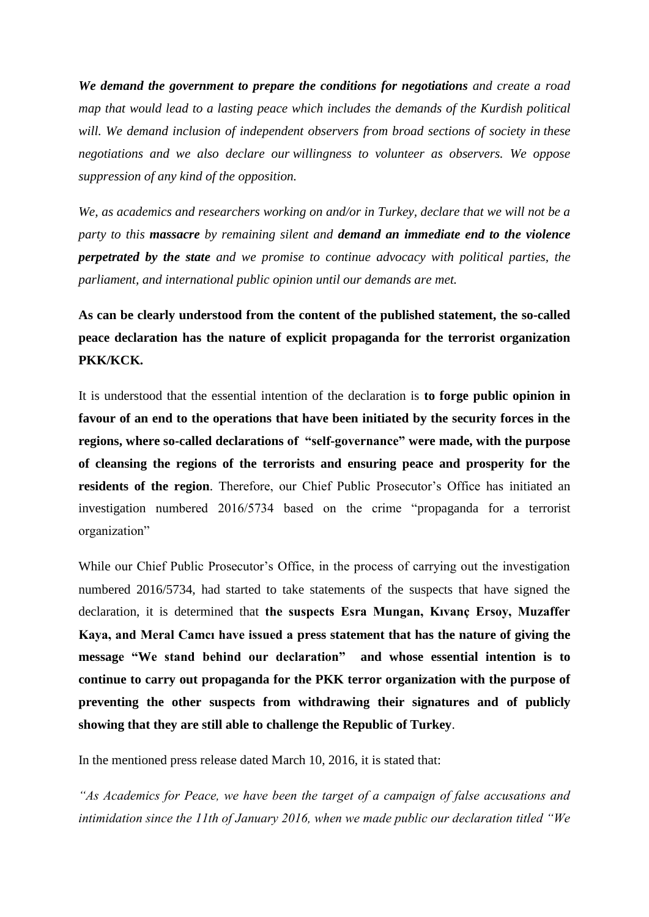*We demand the government to prepare the conditions for negotiations and create a road map that would lead to a lasting peace which includes the demands of the Kurdish political will. We demand inclusion of independent observers from broad sections of society in these negotiations and we also declare our willingness to volunteer as observers. We oppose suppression of any kind of the opposition.*

*We, as academics and researchers working on and/or in Turkey, declare that we will not be a party to this massacre by remaining silent and demand an immediate end to the violence perpetrated by the state and we promise to continue advocacy with political parties, the parliament, and international public opinion until our demands are met.*

**As can be clearly understood from the content of the published statement, the so-called peace declaration has the nature of explicit propaganda for the terrorist organization PKK/KCK.**

It is understood that the essential intention of the declaration is **to forge public opinion in favour of an end to the operations that have been initiated by the security forces in the regions, where so-called declarations of "self-governance" were made, with the purpose of cleansing the regions of the terrorists and ensuring peace and prosperity for the residents of the region**. Therefore, our Chief Public Prosecutor's Office has initiated an investigation numbered 2016/5734 based on the crime "propaganda for a terrorist organization"

While our Chief Public Prosecutor's Office, in the process of carrying out the investigation numbered 2016/5734, had started to take statements of the suspects that have signed the declaration, it is determined that **the suspects Esra Mungan, Kıvanç Ersoy, Muzaffer Kaya, and Meral Camcı have issued a press statement that has the nature of giving the message "We stand behind our declaration" and whose essential intention is to continue to carry out propaganda for the PKK terror organization with the purpose of preventing the other suspects from withdrawing their signatures and of publicly showing that they are still able to challenge the Republic of Turkey**.

In the mentioned press release dated March 10, 2016, it is stated that:

*"As Academics for Peace, we have been the target of a campaign of false accusations and intimidation since the 11th of January 2016, when we made public our declaration titled "We*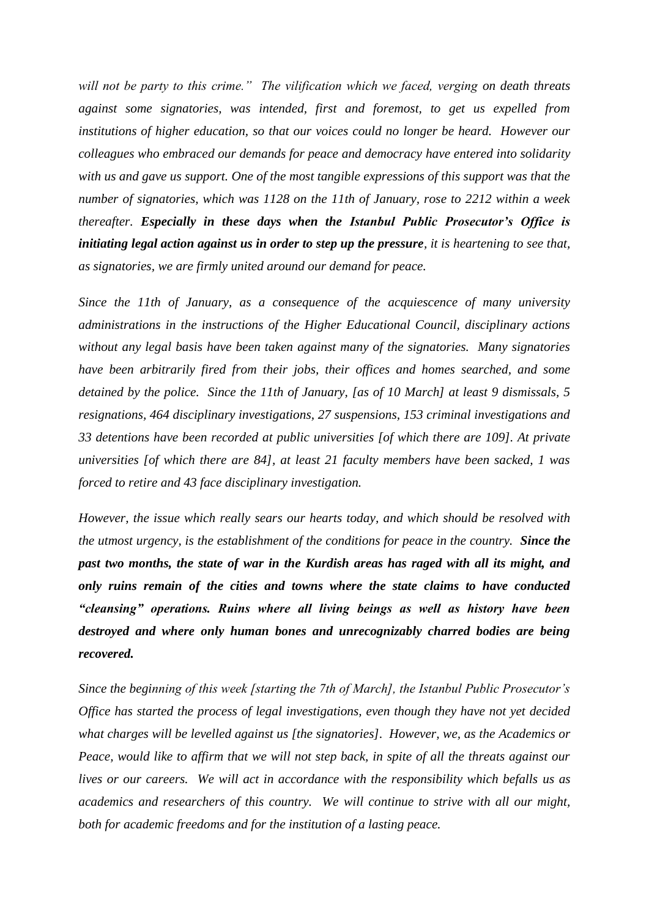*will not be party to this crime." The vilification which we faced, verging on death threats against some signatories, was intended, first and foremost, to get us expelled from institutions of higher education, so that our voices could no longer be heard. However our colleagues who embraced our demands for peace and democracy have entered into solidarity with us and gave us support. One of the most tangible expressions of this support was that the number of signatories, which was 1128 on the 11th of January, rose to 2212 within a week thereafter. Especially in these days when the Istanbul Public Prosecutor's Office is initiating legal action against us in order to step up the pressure, it is heartening to see that, as signatories, we are firmly united around our demand for peace.*

*Since the 11th of January, as a consequence of the acquiescence of many university administrations in the instructions of the Higher Educational Council, disciplinary actions without any legal basis have been taken against many of the signatories. Many signatories have been arbitrarily fired from their jobs, their offices and homes searched, and some detained by the police. Since the 11th of January, [as of 10 March] at least 9 dismissals, 5 resignations, 464 disciplinary investigations, 27 suspensions, 153 criminal investigations and 33 detentions have been recorded at public universities [of which there are 109]. At private universities [of which there are 84], at least 21 faculty members have been sacked, 1 was forced to retire and 43 face disciplinary investigation.*

*However, the issue which really sears our hearts today, and which should be resolved with the utmost urgency, is the establishment of the conditions for peace in the country. Since the past two months, the state of war in the Kurdish areas has raged with all its might, and only ruins remain of the cities and towns where the state claims to have conducted "cleansing" operations. Ruins where all living beings as well as history have been destroyed and where only human bones and unrecognizably charred bodies are being recovered.* 

*Since the beginning of this week [starting the 7th of March], the Istanbul Public Prosecutor's Office has started the process of legal investigations, even though they have not yet decided what charges will be levelled against us [the signatories]. However, we, as the Academics or Peace, would like to affirm that we will not step back, in spite of all the threats against our lives or our careers. We will act in accordance with the responsibility which befalls us as academics and researchers of this country. We will continue to strive with all our might, both for academic freedoms and for the institution of a lasting peace.*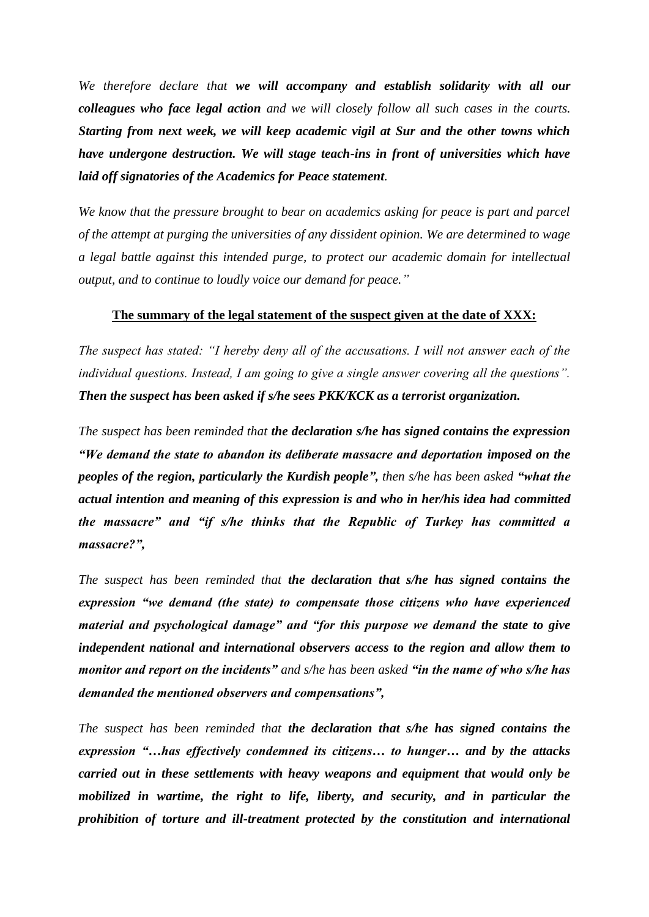*We therefore declare that we will accompany and establish solidarity with all our colleagues who face legal action and we will closely follow all such cases in the courts. Starting from next week, we will keep academic vigil at Sur and the other towns which have undergone destruction. We will stage teach-ins in front of universities which have laid off signatories of the Academics for Peace statement.* 

*We know that the pressure brought to bear on academics asking for peace is part and parcel of the attempt at purging the universities of any dissident opinion. We are determined to wage a legal battle against this intended purge, to protect our academic domain for intellectual output, and to continue to loudly voice our demand for peace."*

### **The summary of the legal statement of the suspect given at the date of XXX:**

*The suspect has stated: "I hereby deny all of the accusations. I will not answer each of the individual questions. Instead, I am going to give a single answer covering all the questions". Then the suspect has been asked if s/he sees PKK/KCK as a terrorist organization.*

*The suspect has been reminded that the declaration s/he has signed contains the expression "We demand the state to abandon its deliberate massacre and deportation imposed on the peoples of the region, particularly the Kurdish people", then s/he has been asked "what the actual intention and meaning of this expression is and who in her/his idea had committed the massacre" and "if s/he thinks that the Republic of Turkey has committed a massacre?",*

*The suspect has been reminded that the declaration that s/he has signed contains the expression "we demand (the state) to compensate those citizens who have experienced material and psychological damage" and "for this purpose we demand the state to give independent national and international observers access to the region and allow them to monitor and report on the incidents" and s/he has been asked "in the name of who s/he has demanded the mentioned observers and compensations",*

*The suspect has been reminded that the declaration that s/he has signed contains the expression "…has effectively condemned its citizens… to hunger… and by the attacks carried out in these settlements with heavy weapons and equipment that would only be mobilized in wartime, the right to life, liberty, and security, and in particular the prohibition of torture and ill-treatment protected by the constitution and international*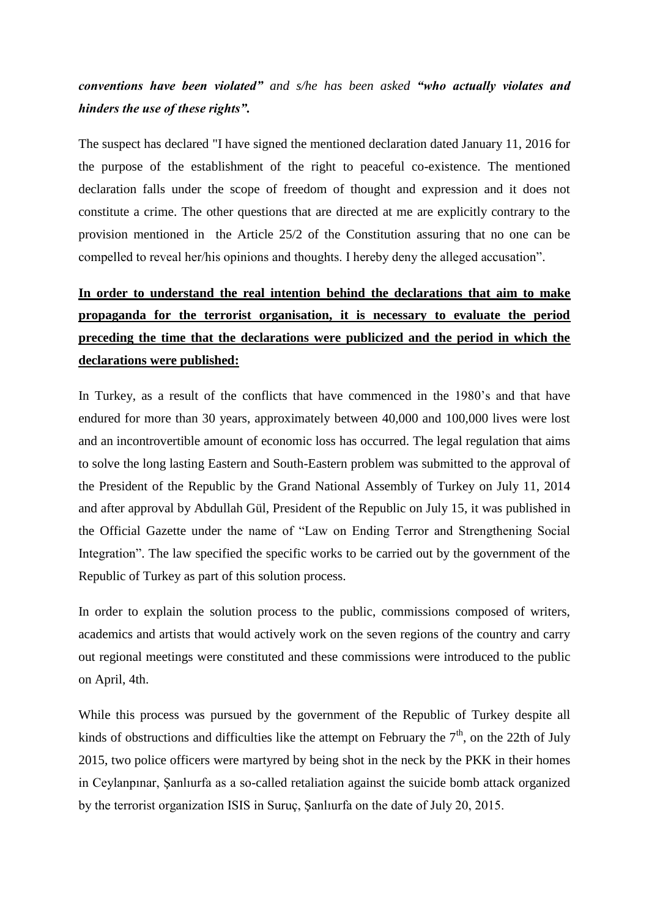# *conventions have been violated" and s/he has been asked "who actually violates and hinders the use of these rights".*

The suspect has declared "I have signed the mentioned declaration dated January 11, 2016 for the purpose of the establishment of the right to peaceful co-existence. The mentioned declaration falls under the scope of freedom of thought and expression and it does not constitute a crime. The other questions that are directed at me are explicitly contrary to the provision mentioned in the Article 25/2 of the Constitution assuring that no one can be compelled to reveal her/his opinions and thoughts. I hereby deny the alleged accusation".

# **In order to understand the real intention behind the declarations that aim to make propaganda for the terrorist organisation, it is necessary to evaluate the period preceding the time that the declarations were publicized and the period in which the declarations were published:**

In Turkey, as a result of the conflicts that have commenced in the 1980's and that have endured for more than 30 years, approximately between 40,000 and 100,000 lives were lost and an incontrovertible amount of economic loss has occurred. The legal regulation that aims to solve the long lasting Eastern and South-Eastern problem was submitted to the approval of the President of the Republic by the Grand National Assembly of Turkey on July 11, 2014 and after approval by Abdullah Gül, President of the Republic on July 15, it was published in the Official Gazette under the name of "Law on Ending Terror and Strengthening Social Integration". The law specified the specific works to be carried out by the government of the Republic of Turkey as part of this solution process.

In order to explain the solution process to the public, commissions composed of writers, academics and artists that would actively work on the seven regions of the country and carry out regional meetings were constituted and these commissions were introduced to the public on April, 4th.

While this process was pursued by the government of the Republic of Turkey despite all kinds of obstructions and difficulties like the attempt on February the  $7<sup>th</sup>$ , on the 22th of July 2015, two police officers were martyred by being shot in the neck by the PKK in their homes in Ceylanpınar, Şanlıurfa as a so-called retaliation against the suicide bomb attack organized by the terrorist organization ISIS in Suruç, Şanlıurfa on the date of July 20, 2015.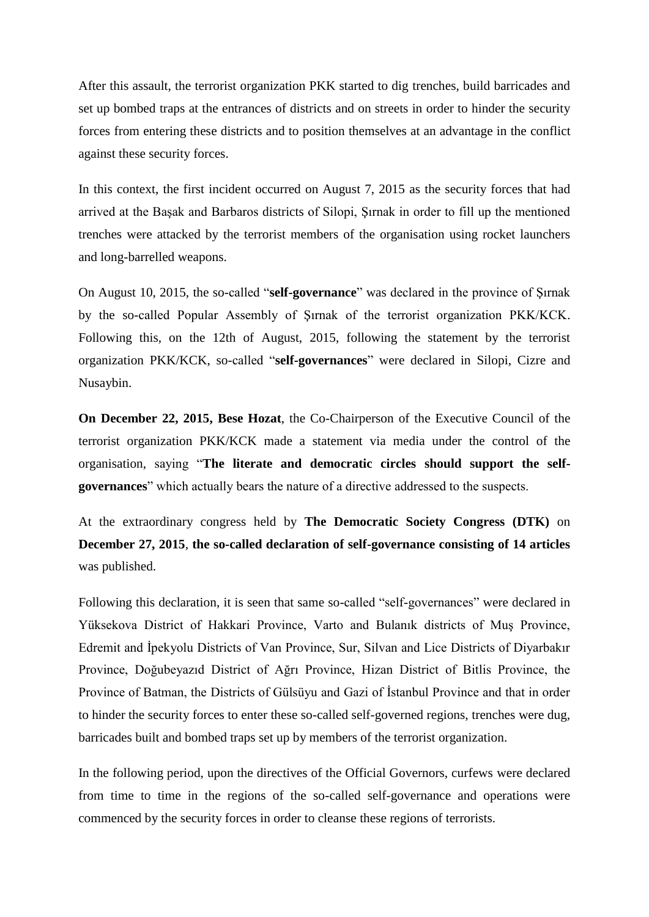After this assault, the terrorist organization PKK started to dig trenches, build barricades and set up bombed traps at the entrances of districts and on streets in order to hinder the security forces from entering these districts and to position themselves at an advantage in the conflict against these security forces.

In this context, the first incident occurred on August 7, 2015 as the security forces that had arrived at the Başak and Barbaros districts of Silopi, Şırnak in order to fill up the mentioned trenches were attacked by the terrorist members of the organisation using rocket launchers and long-barrelled weapons.

On August 10, 2015, the so-called "**self-governance**" was declared in the province of Şırnak by the so-called Popular Assembly of Şırnak of the terrorist organization PKK/KCK. Following this, on the 12th of August, 2015, following the statement by the terrorist organization PKK/KCK, so-called "**self-governances**" were declared in Silopi, Cizre and Nusaybin.

**On December 22, 2015, Bese Hozat**, the Co-Chairperson of the Executive Council of the terrorist organization PKK/KCK made a statement via media under the control of the organisation, saying "**The literate and democratic circles should support the selfgovernances**" which actually bears the nature of a directive addressed to the suspects.

At the extraordinary congress held by **The Democratic Society Congress (DTK)** on **December 27, 2015**, **the so-called declaration of self-governance consisting of 14 articles** was published.

Following this declaration, it is seen that same so-called "self-governances" were declared in Yüksekova District of Hakkari Province, Varto and Bulanık districts of Muş Province, Edremit and İpekyolu Districts of Van Province, Sur, Silvan and Lice Districts of Diyarbakır Province, Doğubeyazıd District of Ağrı Province, Hizan District of Bitlis Province, the Province of Batman, the Districts of Gülsüyu and Gazi of İstanbul Province and that in order to hinder the security forces to enter these so-called self-governed regions, trenches were dug, barricades built and bombed traps set up by members of the terrorist organization.

In the following period, upon the directives of the Official Governors, curfews were declared from time to time in the regions of the so-called self-governance and operations were commenced by the security forces in order to cleanse these regions of terrorists.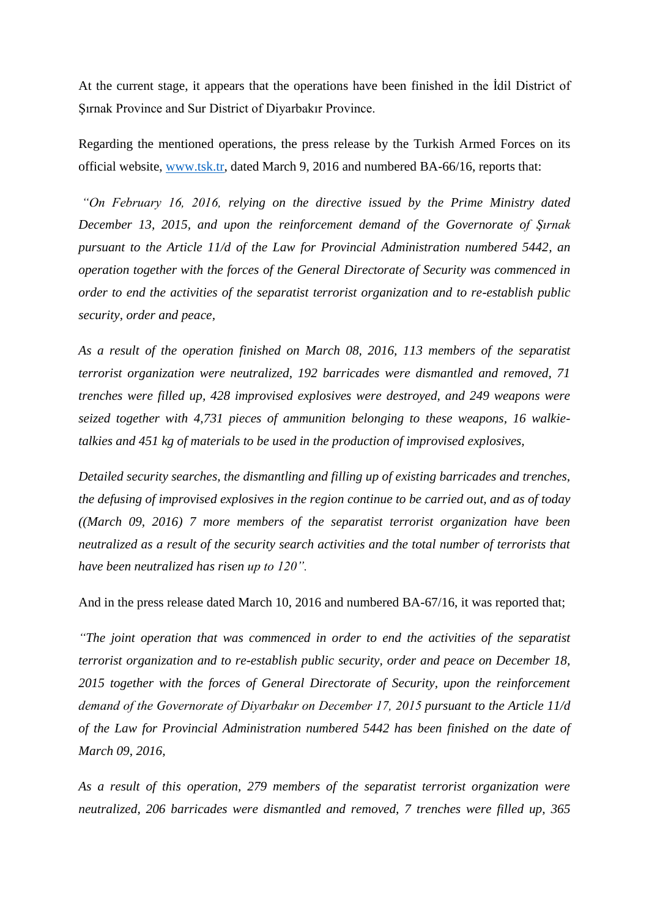At the current stage, it appears that the operations have been finished in the İdil District of Şırnak Province and Sur District of Diyarbakır Province.

Regarding the mentioned operations, the press release by the Turkish Armed Forces on its official website, [www.tsk.tr,](http://www.tsk.tr/) dated March 9, 2016 and numbered BA-66/16, reports that:

*"On February 16, 2016, relying on the directive issued by the Prime Ministry dated December 13, 2015, and upon the reinforcement demand of the Governorate of Şırnak pursuant to the Article 11/d of the Law for Provincial Administration numbered 5442, an operation together with the forces of the General Directorate of Security was commenced in order to end the activities of the separatist terrorist organization and to re-establish public security, order and peace,*

*As a result of the operation finished on March 08, 2016, 113 members of the separatist terrorist organization were neutralized, 192 barricades were dismantled and removed, 71 trenches were filled up, 428 improvised explosives were destroyed, and 249 weapons were seized together with 4,731 pieces of ammunition belonging to these weapons, 16 walkietalkies and 451 kg of materials to be used in the production of improvised explosives,*

*Detailed security searches, the dismantling and filling up of existing barricades and trenches, the defusing of improvised explosives in the region continue to be carried out, and as of today ((March 09, 2016) 7 more members of the separatist terrorist organization have been neutralized as a result of the security search activities and the total number of terrorists that have been neutralized has risen up to 120".*

And in the press release dated March 10, 2016 and numbered BA-67/16, it was reported that;

*"The joint operation that was commenced in order to end the activities of the separatist terrorist organization and to re-establish public security, order and peace on December 18, 2015 together with the forces of General Directorate of Security, upon the reinforcement demand of the Governorate of Diyarbakır on December 17, 2015 pursuant to the Article 11/d of the Law for Provincial Administration numbered 5442 has been finished on the date of March 09, 2016,*

*As a result of this operation, 279 members of the separatist terrorist organization were neutralized, 206 barricades were dismantled and removed, 7 trenches were filled up, 365*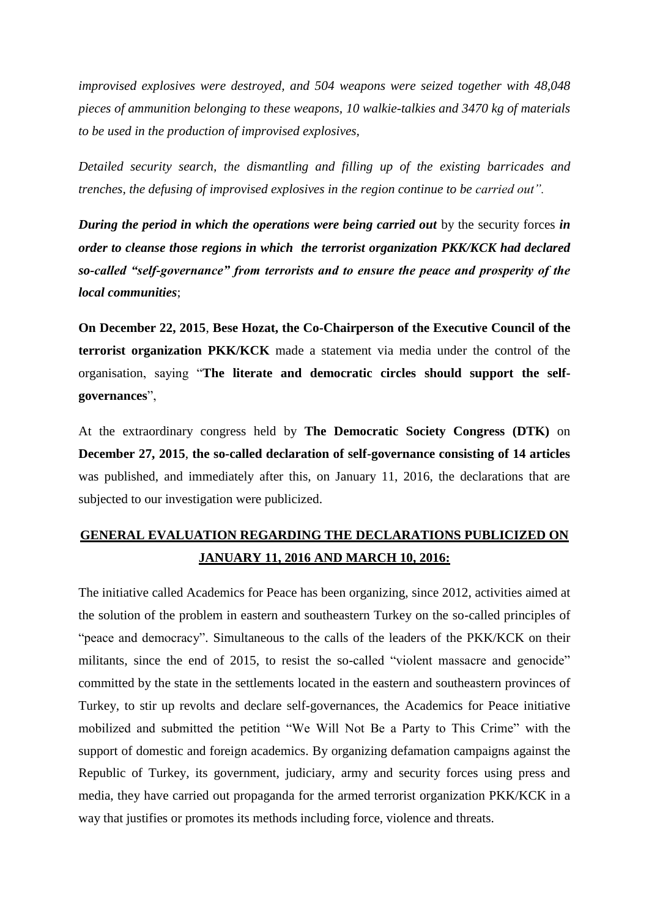*improvised explosives were destroyed, and 504 weapons were seized together with 48,048 pieces of ammunition belonging to these weapons, 10 walkie-talkies and 3470 kg of materials to be used in the production of improvised explosives,*

*Detailed security search, the dismantling and filling up of the existing barricades and trenches, the defusing of improvised explosives in the region continue to be carried out".*

*During the period in which the operations were being carried out* by the security forces *in order to cleanse those regions in which the terrorist organization PKK/KCK had declared so-called "self-governance" from terrorists and to ensure the peace and prosperity of the local communities*;

**On December 22, 2015**, **Bese Hozat, the Co-Chairperson of the Executive Council of the terrorist organization PKK/KCK** made a statement via media under the control of the organisation, saying "**The literate and democratic circles should support the selfgovernances**",

At the extraordinary congress held by **The Democratic Society Congress (DTK)** on **December 27, 2015**, **the so-called declaration of self-governance consisting of 14 articles** was published, and immediately after this, on January 11, 2016, the declarations that are subjected to our investigation were publicized.

# **GENERAL EVALUATION REGARDING THE DECLARATIONS PUBLICIZED ON JANUARY 11, 2016 AND MARCH 10, 2016:**

The initiative called Academics for Peace has been organizing, since 2012, activities aimed at the solution of the problem in eastern and southeastern Turkey on the so-called principles of "peace and democracy". Simultaneous to the calls of the leaders of the PKK/KCK on their militants, since the end of 2015, to resist the so-called "violent massacre and genocide" committed by the state in the settlements located in the eastern and southeastern provinces of Turkey, to stir up revolts and declare self-governances, the Academics for Peace initiative mobilized and submitted the petition "We Will Not Be a Party to This Crime" with the support of domestic and foreign academics. By organizing defamation campaigns against the Republic of Turkey, its government, judiciary, army and security forces using press and media, they have carried out propaganda for the armed terrorist organization PKK/KCK in a way that justifies or promotes its methods including force, violence and threats.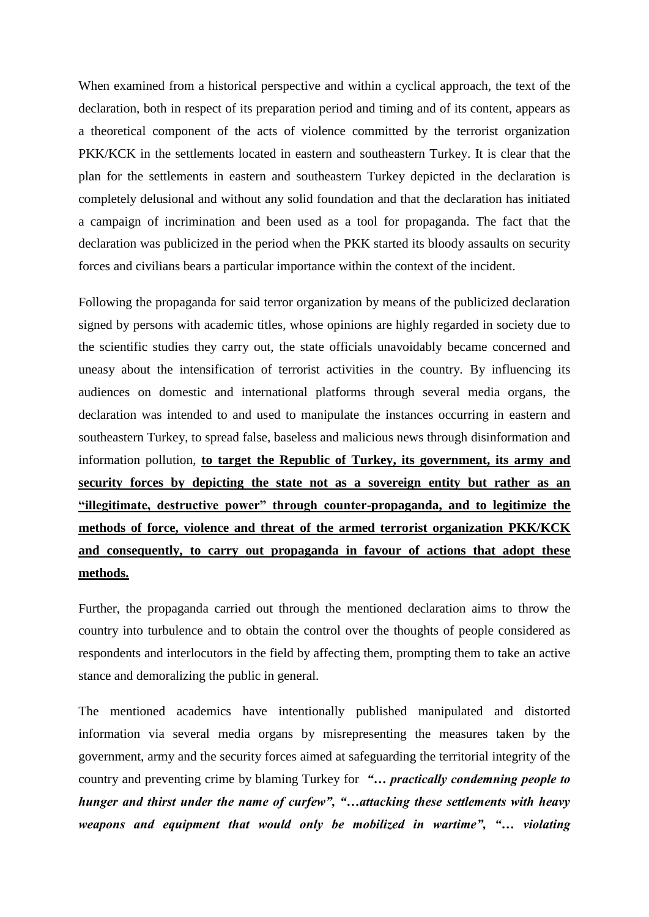When examined from a historical perspective and within a cyclical approach, the text of the declaration, both in respect of its preparation period and timing and of its content, appears as a theoretical component of the acts of violence committed by the terrorist organization PKK/KCK in the settlements located in eastern and southeastern Turkey. It is clear that the plan for the settlements in eastern and southeastern Turkey depicted in the declaration is completely delusional and without any solid foundation and that the declaration has initiated a campaign of incrimination and been used as a tool for propaganda. The fact that the declaration was publicized in the period when the PKK started its bloody assaults on security forces and civilians bears a particular importance within the context of the incident.

Following the propaganda for said terror organization by means of the publicized declaration signed by persons with academic titles, whose opinions are highly regarded in society due to the scientific studies they carry out, the state officials unavoidably became concerned and uneasy about the intensification of terrorist activities in the country. By influencing its audiences on domestic and international platforms through several media organs, the declaration was intended to and used to manipulate the instances occurring in eastern and southeastern Turkey, to spread false, baseless and malicious news through disinformation and information pollution, **to target the Republic of Turkey, its government, its army and security forces by depicting the state not as a sovereign entity but rather as an "illegitimate, destructive power" through counter-propaganda, and to legitimize the methods of force, violence and threat of the armed terrorist organization PKK/KCK and consequently, to carry out propaganda in favour of actions that adopt these methods.**

Further, the propaganda carried out through the mentioned declaration aims to throw the country into turbulence and to obtain the control over the thoughts of people considered as respondents and interlocutors in the field by affecting them, prompting them to take an active stance and demoralizing the public in general.

The mentioned academics have intentionally published manipulated and distorted information via several media organs by misrepresenting the measures taken by the government, army and the security forces aimed at safeguarding the territorial integrity of the country and preventing crime by blaming Turkey for *"… practically condemning people to hunger and thirst under the name of curfew", "…attacking these settlements with heavy weapons and equipment that would only be mobilized in wartime", "… violating*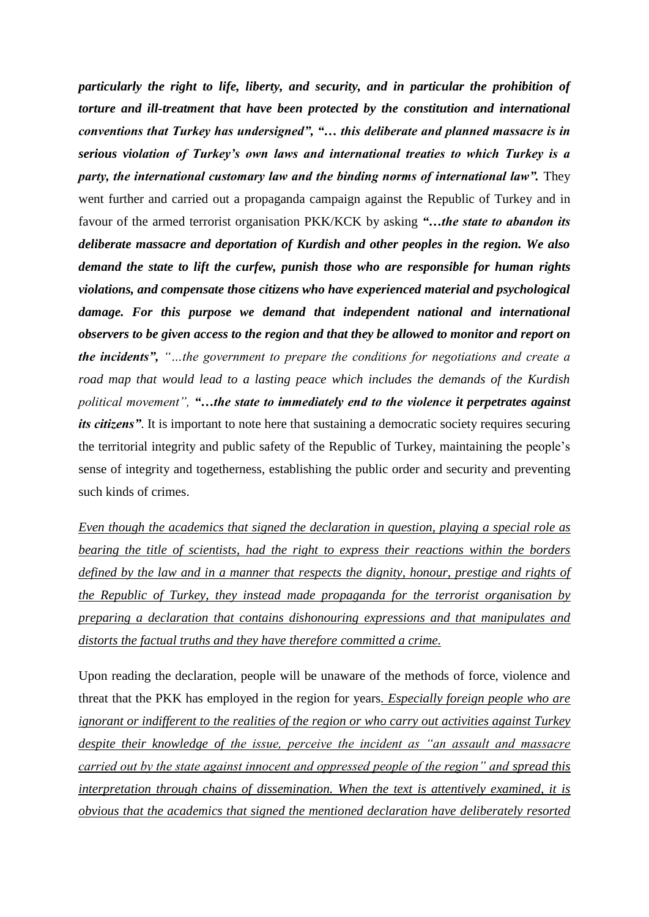*particularly the right to life, liberty, and security, and in particular the prohibition of torture and ill-treatment that have been protected by the constitution and international conventions that Turkey has undersigned", "… this deliberate and planned massacre is in serious violation of Turkey's own laws and international treaties to which Turkey is a party, the international customary law and the binding norms of international law".* They went further and carried out a propaganda campaign against the Republic of Turkey and in favour of the armed terrorist organisation PKK/KCK by asking *"…the state to abandon its deliberate massacre and deportation of Kurdish and other peoples in the region. We also demand the state to lift the curfew, punish those who are responsible for human rights violations, and compensate those citizens who have experienced material and psychological damage. For this purpose we demand that independent national and international observers to be given access to the region and that they be allowed to monitor and report on the incidents", "…the government to prepare the conditions for negotiations and create a road map that would lead to a lasting peace which includes the demands of the Kurdish political movement", "…the state to immediately end to the violence it perpetrates against its citizens"*. It is important to note here that sustaining a democratic society requires securing the territorial integrity and public safety of the Republic of Turkey, maintaining the people's sense of integrity and togetherness, establishing the public order and security and preventing such kinds of crimes.

*Even though the academics that signed the declaration in question, playing a special role as bearing the title of scientists, had the right to express their reactions within the borders defined by the law and in a manner that respects the dignity, honour, prestige and rights of the Republic of Turkey, they instead made propaganda for the terrorist organisation by preparing a declaration that contains dishonouring expressions and that manipulates and distorts the factual truths and they have therefore committed a crime.*

Upon reading the declaration, people will be unaware of the methods of force, violence and threat that the PKK has employed in the region for years*. Especially foreign people who are ignorant or indifferent to the realities of the region or who carry out activities against Turkey despite their knowledge of the issue, perceive the incident as "an assault and massacre carried out by the state against innocent and oppressed people of the region" and spread this interpretation through chains of dissemination. When the text is attentively examined, it is obvious that the academics that signed the mentioned declaration have deliberately resorted*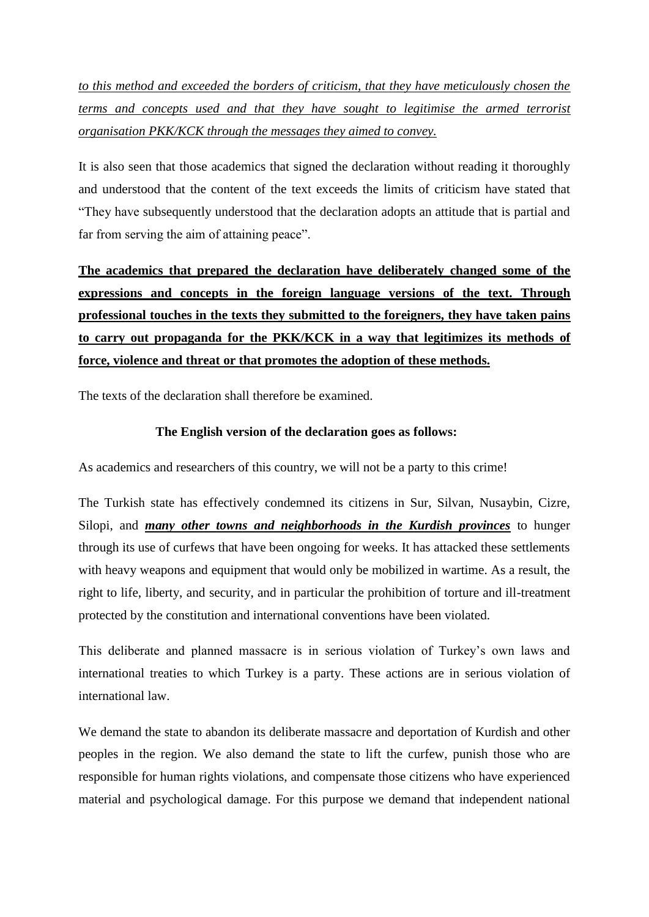*to this method and exceeded the borders of criticism, that they have meticulously chosen the terms and concepts used and that they have sought to legitimise the armed terrorist organisation PKK/KCK through the messages they aimed to convey.*

It is also seen that those academics that signed the declaration without reading it thoroughly and understood that the content of the text exceeds the limits of criticism have stated that "They have subsequently understood that the declaration adopts an attitude that is partial and far from serving the aim of attaining peace".

**The academics that prepared the declaration have deliberately changed some of the expressions and concepts in the foreign language versions of the text. Through professional touches in the texts they submitted to the foreigners, they have taken pains to carry out propaganda for the PKK/KCK in a way that legitimizes its methods of force, violence and threat or that promotes the adoption of these methods.**

The texts of the declaration shall therefore be examined.

# **The English version of the declaration goes as follows:**

As academics and researchers of this country, we will not be a party to this crime!

The Turkish state has effectively condemned its citizens in Sur, Silvan, Nusaybin, Cizre, Silopi, and *many other towns and neighborhoods in the Kurdish provinces* to hunger through its use of curfews that have been ongoing for weeks. It has attacked these settlements with heavy weapons and equipment that would only be mobilized in wartime. As a result, the right to life, liberty, and security, and in particular the prohibition of torture and ill-treatment protected by the constitution and international conventions have been violated.

This deliberate and planned massacre is in serious violation of Turkey's own laws and international treaties to which Turkey is a party. These actions are in serious violation of international law.

We demand the state to abandon its deliberate massacre and deportation of Kurdish and other peoples in the region. We also demand the state to lift the curfew, punish those who are responsible for human rights violations, and compensate those citizens who have experienced material and psychological damage. For this purpose we demand that independent national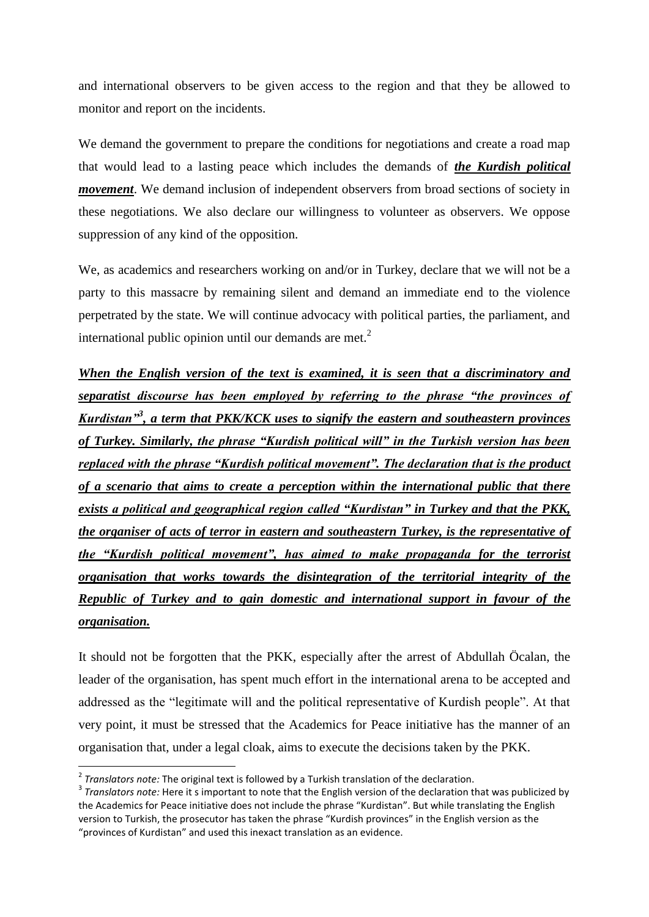and international observers to be given access to the region and that they be allowed to monitor and report on the incidents.

We demand the government to prepare the conditions for negotiations and create a road map that would lead to a lasting peace which includes the demands of *the Kurdish political movement*. We demand inclusion of independent observers from broad sections of society in these negotiations. We also declare our willingness to volunteer as observers. We oppose suppression of any kind of the opposition.

We, as academics and researchers working on and/or in Turkey, declare that we will not be a party to this massacre by remaining silent and demand an immediate end to the violence perpetrated by the state. We will continue advocacy with political parties, the parliament, and international public opinion until our demands are met. $<sup>2</sup>$ </sup>

*When the English version of the text is examined, it is seen that a discriminatory and separatist discourse has been employed by referring to the phrase "the provinces of Kurdistan"<sup>3</sup> , a term that PKK/KCK uses to signify the eastern and southeastern provinces of Turkey. Similarly, the phrase "Kurdish political will" in the Turkish version has been replaced with the phrase "Kurdish political movement". The declaration that is the product of a scenario that aims to create a perception within the international public that there exists a political and geographical region called "Kurdistan" in Turkey and that the PKK, the organiser of acts of terror in eastern and southeastern Turkey, is the representative of the "Kurdish political movement", has aimed to make propaganda for the terrorist organisation that works towards the disintegration of the territorial integrity of the Republic of Turkey and to gain domestic and international support in favour of the organisation.*

It should not be forgotten that the PKK, especially after the arrest of Abdullah Öcalan, the leader of the organisation, has spent much effort in the international arena to be accepted and addressed as the "legitimate will and the political representative of Kurdish people". At that very point, it must be stressed that the Academics for Peace initiative has the manner of an organisation that, under a legal cloak, aims to execute the decisions taken by the PKK.

 $\overline{\phantom{a}}$ 

<sup>2</sup> *Translators note:* The original text is followed by a Turkish translation of the declaration.

<sup>3</sup> *Translators note:* Here it s important to note that the English version of the declaration that was publicized by the Academics for Peace initiative does not include the phrase "Kurdistan". But while translating the English version to Turkish, the prosecutor has taken the phrase "Kurdish provinces" in the English version as the "provinces of Kurdistan" and used this inexact translation as an evidence.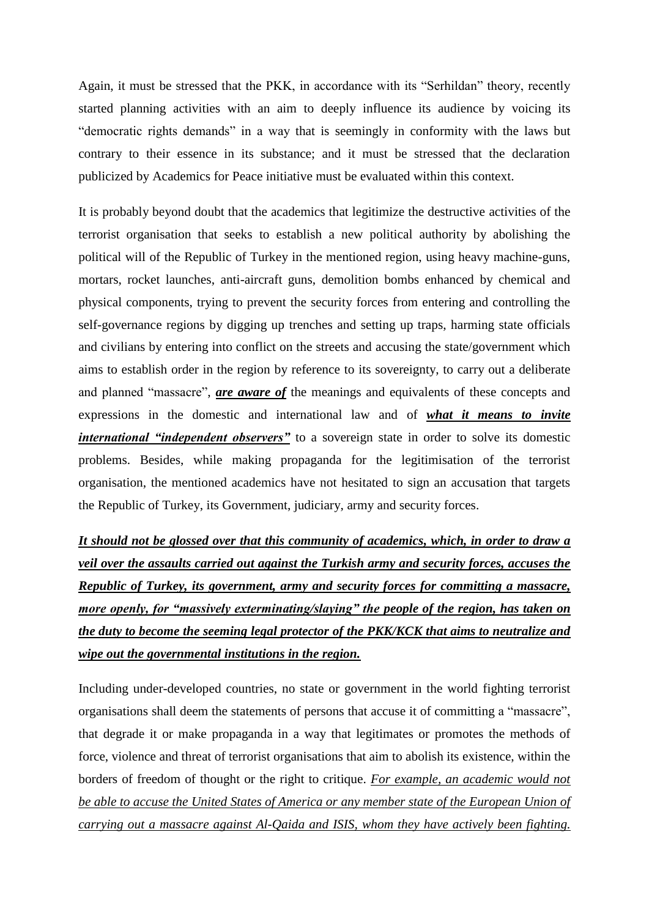Again, it must be stressed that the PKK, in accordance with its "Serhildan" theory, recently started planning activities with an aim to deeply influence its audience by voicing its "democratic rights demands" in a way that is seemingly in conformity with the laws but contrary to their essence in its substance; and it must be stressed that the declaration publicized by Academics for Peace initiative must be evaluated within this context.

It is probably beyond doubt that the academics that legitimize the destructive activities of the terrorist organisation that seeks to establish a new political authority by abolishing the political will of the Republic of Turkey in the mentioned region, using heavy machine-guns, mortars, rocket launches, anti-aircraft guns, demolition bombs enhanced by chemical and physical components, trying to prevent the security forces from entering and controlling the self-governance regions by digging up trenches and setting up traps, harming state officials and civilians by entering into conflict on the streets and accusing the state/government which aims to establish order in the region by reference to its sovereignty, to carry out a deliberate and planned "massacre", *are aware of* the meanings and equivalents of these concepts and expressions in the domestic and international law and of *what it means to invite international "independent observers"* to a sovereign state in order to solve its domestic problems. Besides, while making propaganda for the legitimisation of the terrorist organisation, the mentioned academics have not hesitated to sign an accusation that targets the Republic of Turkey, its Government, judiciary, army and security forces.

*It should not be glossed over that this community of academics, which, in order to draw a veil over the assaults carried out against the Turkish army and security forces, accuses the Republic of Turkey, its government, army and security forces for committing a massacre, more openly, for "massively exterminating/slaying" the people of the region, has taken on the duty to become the seeming legal protector of the PKK/KCK that aims to neutralize and wipe out the governmental institutions in the region.*

Including under-developed countries, no state or government in the world fighting terrorist organisations shall deem the statements of persons that accuse it of committing a "massacre", that degrade it or make propaganda in a way that legitimates or promotes the methods of force, violence and threat of terrorist organisations that aim to abolish its existence, within the borders of freedom of thought or the right to critique. *For example, an academic would not be able to accuse the United States of America or any member state of the European Union of carrying out a massacre against Al-Qaida and ISIS, whom they have actively been fighting.*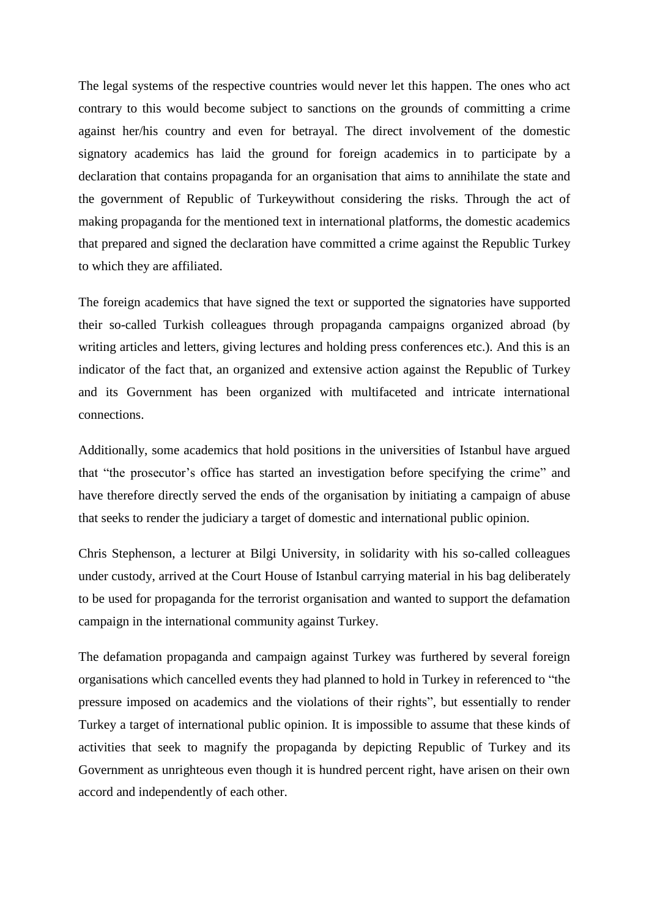The legal systems of the respective countries would never let this happen. The ones who act contrary to this would become subject to sanctions on the grounds of committing a crime against her/his country and even for betrayal. The direct involvement of the domestic signatory academics has laid the ground for foreign academics in to participate by a declaration that contains propaganda for an organisation that aims to annihilate the state and the government of Republic of Turkeywithout considering the risks. Through the act of making propaganda for the mentioned text in international platforms, the domestic academics that prepared and signed the declaration have committed a crime against the Republic Turkey to which they are affiliated.

The foreign academics that have signed the text or supported the signatories have supported their so-called Turkish colleagues through propaganda campaigns organized abroad (by writing articles and letters, giving lectures and holding press conferences etc.). And this is an indicator of the fact that, an organized and extensive action against the Republic of Turkey and its Government has been organized with multifaceted and intricate international connections.

Additionally, some academics that hold positions in the universities of Istanbul have argued that "the prosecutor's office has started an investigation before specifying the crime" and have therefore directly served the ends of the organisation by initiating a campaign of abuse that seeks to render the judiciary a target of domestic and international public opinion.

Chris Stephenson, a lecturer at Bilgi University, in solidarity with his so-called colleagues under custody, arrived at the Court House of Istanbul carrying material in his bag deliberately to be used for propaganda for the terrorist organisation and wanted to support the defamation campaign in the international community against Turkey.

The defamation propaganda and campaign against Turkey was furthered by several foreign organisations which cancelled events they had planned to hold in Turkey in referenced to "the pressure imposed on academics and the violations of their rights", but essentially to render Turkey a target of international public opinion. It is impossible to assume that these kinds of activities that seek to magnify the propaganda by depicting Republic of Turkey and its Government as unrighteous even though it is hundred percent right, have arisen on their own accord and independently of each other.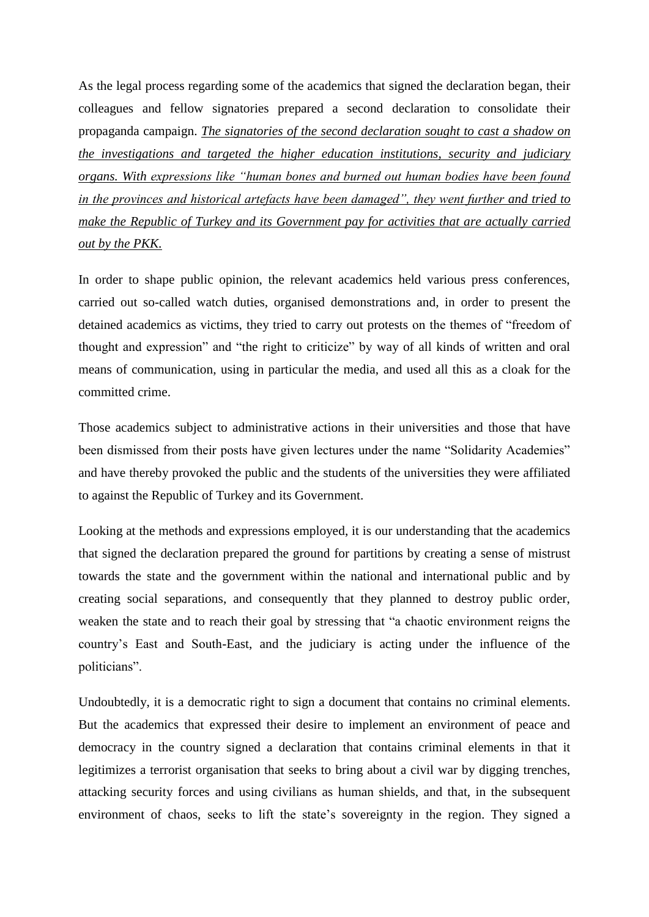As the legal process regarding some of the academics that signed the declaration began, their colleagues and fellow signatories prepared a second declaration to consolidate their propaganda campaign. *The signatories of the second declaration sought to cast a shadow on the investigations and targeted the higher education institutions, security and judiciary organs. With expressions like "human bones and burned out human bodies have been found in the provinces and historical artefacts have been damaged", they went further and tried to make the Republic of Turkey and its Government pay for activities that are actually carried out by the PKK.*

In order to shape public opinion, the relevant academics held various press conferences, carried out so-called watch duties, organised demonstrations and, in order to present the detained academics as victims, they tried to carry out protests on the themes of "freedom of thought and expression" and "the right to criticize" by way of all kinds of written and oral means of communication, using in particular the media, and used all this as a cloak for the committed crime.

Those academics subject to administrative actions in their universities and those that have been dismissed from their posts have given lectures under the name "Solidarity Academies" and have thereby provoked the public and the students of the universities they were affiliated to against the Republic of Turkey and its Government.

Looking at the methods and expressions employed, it is our understanding that the academics that signed the declaration prepared the ground for partitions by creating a sense of mistrust towards the state and the government within the national and international public and by creating social separations, and consequently that they planned to destroy public order, weaken the state and to reach their goal by stressing that "a chaotic environment reigns the country's East and South-East, and the judiciary is acting under the influence of the politicians".

Undoubtedly, it is a democratic right to sign a document that contains no criminal elements. But the academics that expressed their desire to implement an environment of peace and democracy in the country signed a declaration that contains criminal elements in that it legitimizes a terrorist organisation that seeks to bring about a civil war by digging trenches, attacking security forces and using civilians as human shields, and that, in the subsequent environment of chaos, seeks to lift the state's sovereignty in the region. They signed a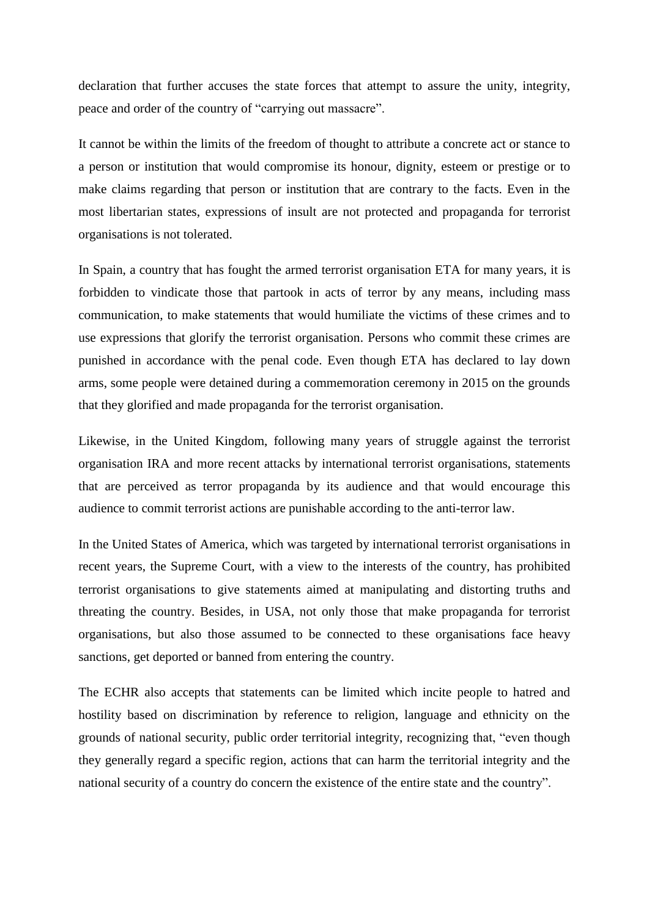declaration that further accuses the state forces that attempt to assure the unity, integrity, peace and order of the country of "carrying out massacre".

It cannot be within the limits of the freedom of thought to attribute a concrete act or stance to a person or institution that would compromise its honour, dignity, esteem or prestige or to make claims regarding that person or institution that are contrary to the facts. Even in the most libertarian states, expressions of insult are not protected and propaganda for terrorist organisations is not tolerated.

In Spain, a country that has fought the armed terrorist organisation ETA for many years, it is forbidden to vindicate those that partook in acts of terror by any means, including mass communication, to make statements that would humiliate the victims of these crimes and to use expressions that glorify the terrorist organisation. Persons who commit these crimes are punished in accordance with the penal code. Even though ETA has declared to lay down arms, some people were detained during a commemoration ceremony in 2015 on the grounds that they glorified and made propaganda for the terrorist organisation.

Likewise, in the United Kingdom, following many years of struggle against the terrorist organisation IRA and more recent attacks by international terrorist organisations, statements that are perceived as terror propaganda by its audience and that would encourage this audience to commit terrorist actions are punishable according to the anti-terror law.

In the United States of America, which was targeted by international terrorist organisations in recent years, the Supreme Court, with a view to the interests of the country, has prohibited terrorist organisations to give statements aimed at manipulating and distorting truths and threating the country. Besides, in USA, not only those that make propaganda for terrorist organisations, but also those assumed to be connected to these organisations face heavy sanctions, get deported or banned from entering the country.

The ECHR also accepts that statements can be limited which incite people to hatred and hostility based on discrimination by reference to religion, language and ethnicity on the grounds of national security, public order territorial integrity, recognizing that, "even though they generally regard a specific region, actions that can harm the territorial integrity and the national security of a country do concern the existence of the entire state and the country".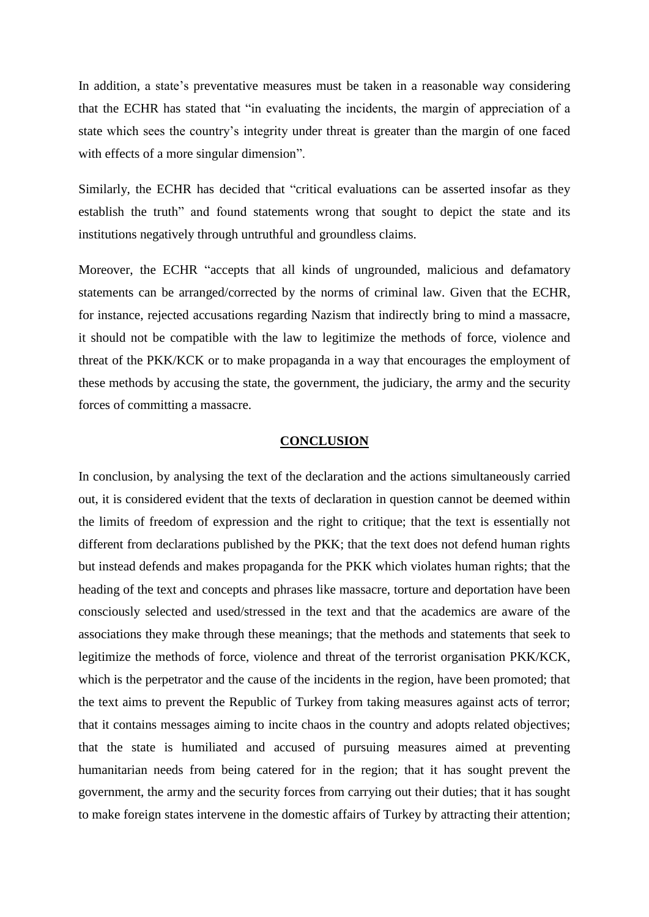In addition, a state's preventative measures must be taken in a reasonable way considering that the ECHR has stated that "in evaluating the incidents, the margin of appreciation of a state which sees the country's integrity under threat is greater than the margin of one faced with effects of a more singular dimension".

Similarly, the ECHR has decided that "critical evaluations can be asserted insofar as they establish the truth" and found statements wrong that sought to depict the state and its institutions negatively through untruthful and groundless claims.

Moreover, the ECHR "accepts that all kinds of ungrounded, malicious and defamatory statements can be arranged/corrected by the norms of criminal law. Given that the ECHR, for instance, rejected accusations regarding Nazism that indirectly bring to mind a massacre, it should not be compatible with the law to legitimize the methods of force, violence and threat of the PKK/KCK or to make propaganda in a way that encourages the employment of these methods by accusing the state, the government, the judiciary, the army and the security forces of committing a massacre.

#### **CONCLUSION**

In conclusion, by analysing the text of the declaration and the actions simultaneously carried out, it is considered evident that the texts of declaration in question cannot be deemed within the limits of freedom of expression and the right to critique; that the text is essentially not different from declarations published by the PKK; that the text does not defend human rights but instead defends and makes propaganda for the PKK which violates human rights; that the heading of the text and concepts and phrases like massacre, torture and deportation have been consciously selected and used/stressed in the text and that the academics are aware of the associations they make through these meanings; that the methods and statements that seek to legitimize the methods of force, violence and threat of the terrorist organisation PKK/KCK, which is the perpetrator and the cause of the incidents in the region, have been promoted; that the text aims to prevent the Republic of Turkey from taking measures against acts of terror; that it contains messages aiming to incite chaos in the country and adopts related objectives; that the state is humiliated and accused of pursuing measures aimed at preventing humanitarian needs from being catered for in the region; that it has sought prevent the government, the army and the security forces from carrying out their duties; that it has sought to make foreign states intervene in the domestic affairs of Turkey by attracting their attention;